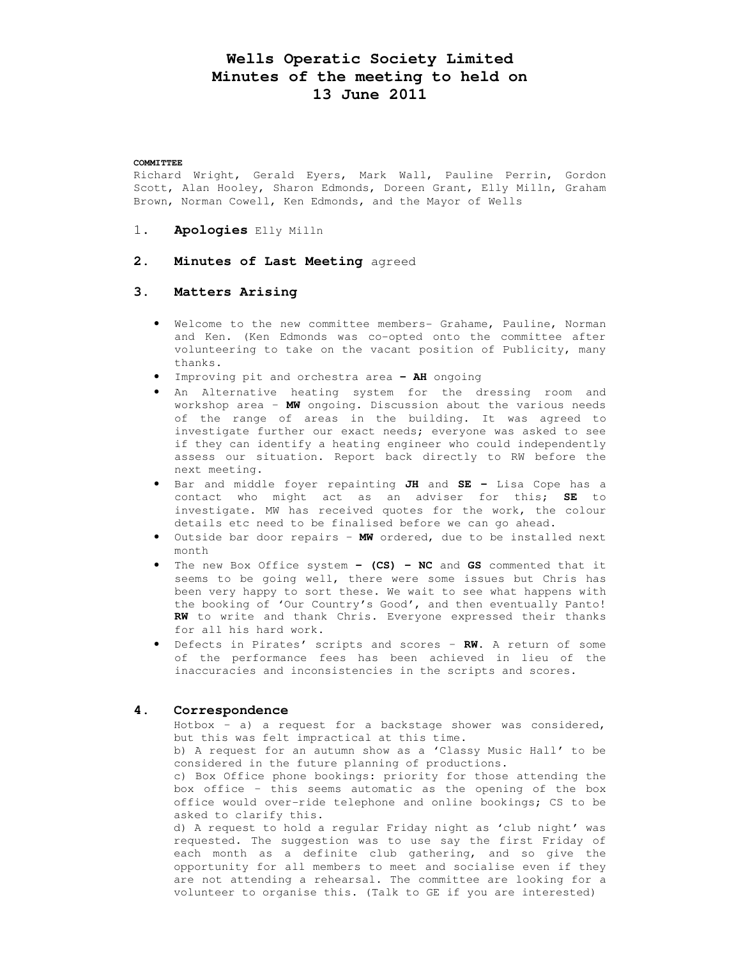# **Wells Operatic Society Limited Minutes of the meeting to held on 13 June 2011**

#### **COMMITTEE**

Richard Wright, Gerald Eyers, Mark Wall, Pauline Perrin, Gordon Scott, Alan Hooley, Sharon Edmonds, Doreen Grant, Elly Milln, Graham Brown, Norman Cowell, Ken Edmonds, and the Mayor of Wells

- 1. **Apologies** Elly Milln
- **2. Minutes of Last Meeting** agreed

## **3. Matters Arising**

- Welcome to the new committee members- Grahame, Pauline, Norman and Ken. (Ken Edmonds was co-opted onto the committee after volunteering to take on the vacant position of Publicity, many thanks.
- Improving pit and orchestra area **– AH** ongoing
- An Alternative heating system for the dressing room and workshop area – **MW** ongoing. Discussion about the various needs of the range of areas in the building. It was agreed to investigate further our exact needs; everyone was asked to see if they can identify a heating engineer who could independently assess our situation. Report back directly to RW before the next meeting.
- Bar and middle foyer repainting **JH** and **SE** Lisa Cope has a contact who might act as an adviser for this; **SE** to investigate. MW has received quotes for the work, the colour details etc need to be finalised before we can go ahead.
- Outside bar door repairs **MW** ordered, due to be installed next month
- The new Box Office system **(CS) NC** and **GS** commented that it seems to be going well, there were some issues but Chris has been very happy to sort these. We wait to see what happens with the booking of 'Our Country's Good', and then eventually Panto! **RW** to write and thank Chris. Everyone expressed their thanks for all his hard work.
- Defects in Pirates' scripts and scores **RW.** A return of some of the performance fees has been achieved in lieu of the inaccuracies and inconsistencies in the scripts and scores.

#### **4. Correspondence**

Hotbox – a) a request for a backstage shower was considered, but this was felt impractical at this time.

b) A request for an autumn show as a 'Classy Music Hall' to be considered in the future planning of productions.

c) Box Office phone bookings: priority for those attending the box office – this seems automatic as the opening of the box office would over-ride telephone and online bookings; CS to be asked to clarify this.

d) A request to hold a regular Friday night as 'club night' was requested. The suggestion was to use say the first Friday of each month as a definite club gathering, and so give the opportunity for all members to meet and socialise even if they are not attending a rehearsal. The committee are looking for a volunteer to organise this. (Talk to GE if you are interested)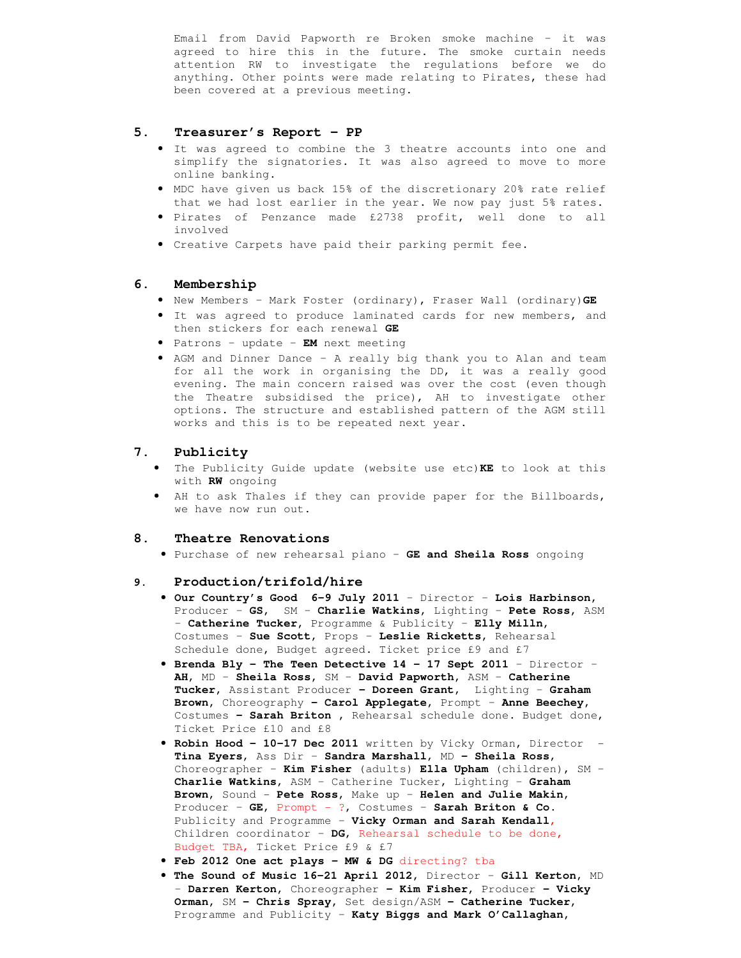Email from David Papworth re Broken smoke machine – it was agreed to hire this in the future. The smoke curtain needs attention RW to investigate the regulations before we do anything. Other points were made relating to Pirates, these had been covered at a previous meeting.

## **5. Treasurer's Report – PP**

- It was agreed to combine the 3 theatre accounts into one and simplify the signatories. It was also agreed to move to more online banking.
- MDC have given us back 15% of the discretionary 20% rate relief that we had lost earlier in the year. We now pay just 5% rates.
- Pirates of Penzance made £2738 profit, well done to all involved
- Creative Carpets have paid their parking permit fee.

## **6. Membership**

- New Members Mark Foster (ordinary), Fraser Wall (ordinary)**GE**
- It was agreed to produce laminated cards for new members, and then stickers for each renewal **GE**
- Patrons update **EM** next meeting
- AGM and Dinner Dance A really big thank you to Alan and team for all the work in organising the DD, it was a really good evening. The main concern raised was over the cost (even though the Theatre subsidised the price), AH to investigate other options. The structure and established pattern of the AGM still works and this is to be repeated next year.

## **7. Publicity**

- The Publicity Guide update (website use etc)**KE** to look at this with **RW** ongoing
- AH to ask Thales if they can provide paper for the Billboards, we have now run out.

#### **8. Theatre Renovations**

• Purchase of new rehearsal piano – **GE and Sheila Ross** ongoing

## **9. Production/trifold/hire**

- **Our Country's Good 6-9 July 2011** Director **Lois Harbinson,**  Producer – **GS,** SM – **Charlie Watkins,** Lighting – **Pete Ross,** ASM – **Catherine Tucker,** Programme & Publicity – **Elly Milln,**  Costumes – **Sue Scott**, Props – **Leslie Ricketts**, Rehearsal Schedule done, Budget agreed. Ticket price £9 and £7
- **Brenda Bly The Teen Detective 14 17 Sept 2011**  Director **AH**, MD – **Sheila Ross,** SM – **David Papworth,** ASM – **Catherine Tucker,** Assistant Producer **– Doreen Grant,** Lighting – **Graham Brown,** Choreography **– Carol Applegate,** Prompt – **Anne Beechey,**  Costumes **– Sarah Briton ,** Rehearsal schedule done. Budget done, Ticket Price £10 and £8
- **Robin Hood 10-17 Dec 2011** written by Vicky Orman, Director **Tina Eyers**, Ass Dir – **Sandra Marshall**, MD **– Sheila Ross**, Choreographer – **Kim Fisher** (adults) **Ella Upham** (children), SM – **Charlie Watkins**, ASM – Catherine Tucker, Lighting – **Graham Brown**, Sound - **Pete Ross**, Make up – **Helen and Julie Makin**, Producer – **GE**, Prompt - ?, Costumes – **Sarah Briton & Co.** Publicity and Programme – **Vicky Orman and Sarah Kendall**, Children coordinator – **DG**, Rehearsal schedule to be done, Budget TBA, Ticket Price £9 & £7
- **Feb 2012 One act plays MW & DG** directing? tba
- **The Sound of Music 16-21 April 2012,** Director **Gill Kerton**, MD – **Darren Kerton,** Choreographer **– Kim Fisher,** Producer **– Vicky Orman,** SM **– Chris Spray,** Set design/ASM **– Catherine Tucker,**  Programme and Publicity – **Katy Biggs and Mark O'Callaghan,**